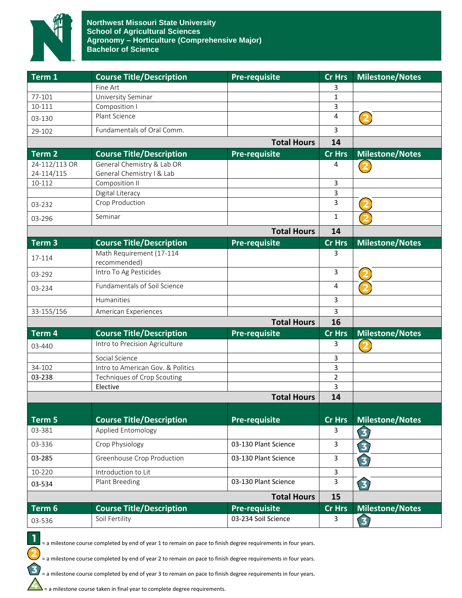

| <b>Course Title/Description</b>          | <b>Pre-requisite</b>                                                                                                                                                                                                                                         | <b>Cr Hrs</b>                                                                                                                                                  | <b>Milestone/Notes</b>                                        |
|------------------------------------------|--------------------------------------------------------------------------------------------------------------------------------------------------------------------------------------------------------------------------------------------------------------|----------------------------------------------------------------------------------------------------------------------------------------------------------------|---------------------------------------------------------------|
| Fine Art                                 |                                                                                                                                                                                                                                                              | 3                                                                                                                                                              |                                                               |
| University Seminar                       |                                                                                                                                                                                                                                                              | 1                                                                                                                                                              |                                                               |
| Composition I                            |                                                                                                                                                                                                                                                              | 3                                                                                                                                                              |                                                               |
|                                          |                                                                                                                                                                                                                                                              | 4                                                                                                                                                              | (2                                                            |
| Fundamentals of Oral Comm.               |                                                                                                                                                                                                                                                              | 3                                                                                                                                                              |                                                               |
|                                          | 14                                                                                                                                                                                                                                                           |                                                                                                                                                                |                                                               |
| <b>Course Title/Description</b>          | <b>Pre-requisite</b>                                                                                                                                                                                                                                         | <b>Cr Hrs</b>                                                                                                                                                  | <b>Milestone/Notes</b>                                        |
| General Chemistry & Lab OR               |                                                                                                                                                                                                                                                              | 4                                                                                                                                                              |                                                               |
| General Chemistry   & Lab                |                                                                                                                                                                                                                                                              |                                                                                                                                                                |                                                               |
|                                          |                                                                                                                                                                                                                                                              | 3                                                                                                                                                              |                                                               |
|                                          |                                                                                                                                                                                                                                                              |                                                                                                                                                                |                                                               |
|                                          |                                                                                                                                                                                                                                                              |                                                                                                                                                                |                                                               |
| Seminar                                  |                                                                                                                                                                                                                                                              | $\mathbf{1}$                                                                                                                                                   |                                                               |
|                                          | 14                                                                                                                                                                                                                                                           |                                                                                                                                                                |                                                               |
| <b>Course Title/Description</b>          | <b>Pre-requisite</b>                                                                                                                                                                                                                                         | Cr Hrs                                                                                                                                                         | <b>Milestone/Notes</b>                                        |
| Math Requirement (17-114<br>recommended) |                                                                                                                                                                                                                                                              | 3                                                                                                                                                              |                                                               |
| Intro To Ag Pesticides                   |                                                                                                                                                                                                                                                              | 3                                                                                                                                                              |                                                               |
| Fundamentals of Soil Science             |                                                                                                                                                                                                                                                              | $\overline{4}$                                                                                                                                                 |                                                               |
| Humanities                               |                                                                                                                                                                                                                                                              | 3                                                                                                                                                              |                                                               |
| American Experiences                     |                                                                                                                                                                                                                                                              | 3                                                                                                                                                              |                                                               |
|                                          | <b>Total Hours</b>                                                                                                                                                                                                                                           | 16                                                                                                                                                             |                                                               |
| <b>Course Title/Description</b>          | <b>Pre-requisite</b>                                                                                                                                                                                                                                         | Cr Hrs                                                                                                                                                         | <b>Milestone/Notes</b>                                        |
| Intro to Precision Agriculture           |                                                                                                                                                                                                                                                              | 3                                                                                                                                                              | $\overline{\mathbf{2}}$                                       |
| Social Science                           |                                                                                                                                                                                                                                                              | 3                                                                                                                                                              |                                                               |
| Intro to American Gov. & Politics        |                                                                                                                                                                                                                                                              | 3                                                                                                                                                              |                                                               |
| Techniques of Crop Scouting              |                                                                                                                                                                                                                                                              | $\overline{2}$                                                                                                                                                 |                                                               |
| Elective                                 |                                                                                                                                                                                                                                                              | 3                                                                                                                                                              |                                                               |
|                                          | <b>Total Hours</b>                                                                                                                                                                                                                                           | 14                                                                                                                                                             |                                                               |
|                                          |                                                                                                                                                                                                                                                              |                                                                                                                                                                | Milestone/Notes                                               |
|                                          |                                                                                                                                                                                                                                                              | 3                                                                                                                                                              | 3)                                                            |
|                                          | 03-130 Plant Science                                                                                                                                                                                                                                         | 3                                                                                                                                                              | $\overline{\mathbf{3}}$                                       |
|                                          |                                                                                                                                                                                                                                                              |                                                                                                                                                                | $\overline{\mathbf{3}}$                                       |
|                                          |                                                                                                                                                                                                                                                              |                                                                                                                                                                |                                                               |
|                                          |                                                                                                                                                                                                                                                              |                                                                                                                                                                | 3                                                             |
|                                          |                                                                                                                                                                                                                                                              |                                                                                                                                                                |                                                               |
|                                          |                                                                                                                                                                                                                                                              |                                                                                                                                                                | Milestone/Notes                                               |
| Soil Fertility                           | 03-234 Soil Science                                                                                                                                                                                                                                          | 3                                                                                                                                                              | 3                                                             |
|                                          |                                                                                                                                                                                                                                                              |                                                                                                                                                                |                                                               |
|                                          | Plant Science<br>Composition II<br>Digital Literacy<br>Crop Production<br><b>Course Title/Description</b><br>Applied Entomology<br>Crop Physiology<br>Greenhouse Crop Production<br>Introduction to Lit<br>Plant Breeding<br><b>Course Title/Description</b> | <b>Total Hours</b><br><b>Total Hours</b><br><b>Pre-requisite</b><br>03-130 Plant Science<br>03-130 Plant Science<br><b>Total Hours</b><br><b>Pre-requisite</b> | 3<br>3<br><b>Cr Hrs</b><br>3<br>3<br>3<br>15<br><b>Cr Hrs</b> |

= a milestone course completed by end of year 1 to remain on pace to finish degree requirements in four years.

= a milestone course completed by end of year 2 to remain on pace to finish degree requirements in four years.

= a milestone course completed by end of year 3 to remain on pace to finish degree requirements in four years.

 $\sum$  = a milestone course taken in final year to complete degree requirements.

 $\overline{\mathbf{2}}$ 

 $\mathbf{\hat{B}}$